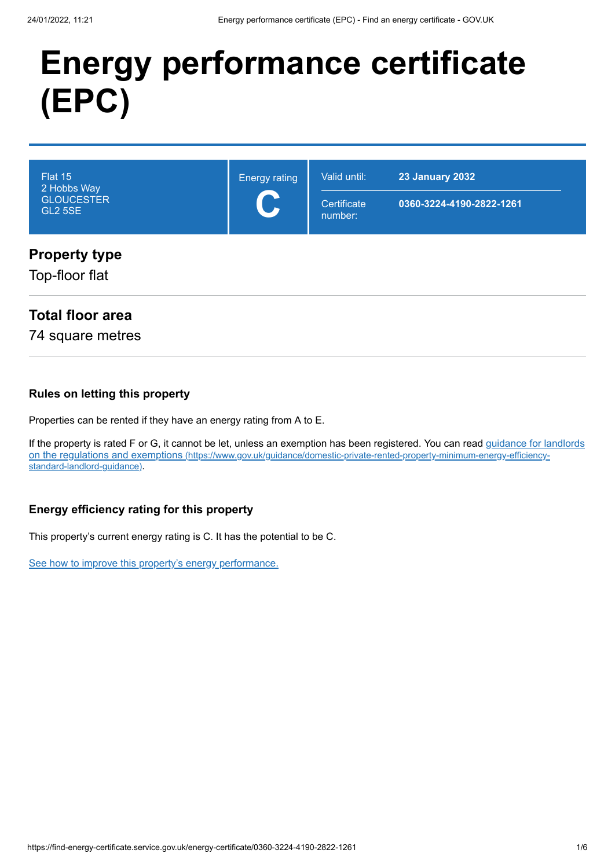# **Energy performance certificate (EPC)**

| Flat 15<br>2 Hobbs Way<br><b>GLOUCESTER</b><br><b>GL2 5SE</b> | <b>Energy rating</b><br>$\mathbf C$ | Valid until:<br>Certificate<br>number: | <b>23 January 2032</b><br>0360-3224-4190-2822-1261 |
|---------------------------------------------------------------|-------------------------------------|----------------------------------------|----------------------------------------------------|
| <b>Property type</b><br>Top-floor flat                        |                                     |                                        |                                                    |

### **Total floor area**

74 square metres

#### **Rules on letting this property**

Properties can be rented if they have an energy rating from A to E.

[If the property is rated F or G, it cannot be let, unless an exemption has been registered. You can read guidance for landlords](https://www.gov.uk/guidance/domestic-private-rented-property-minimum-energy-efficiency-standard-landlord-guidance) on the regulations and exemptions (https://www.gov.uk/guidance/domestic-private-rented-property-minimum-energy-efficiencystandard-landlord-guidance).

#### **Energy efficiency rating for this property**

This property's current energy rating is C. It has the potential to be C.

[See how to improve this property's energy performance.](#page-3-0)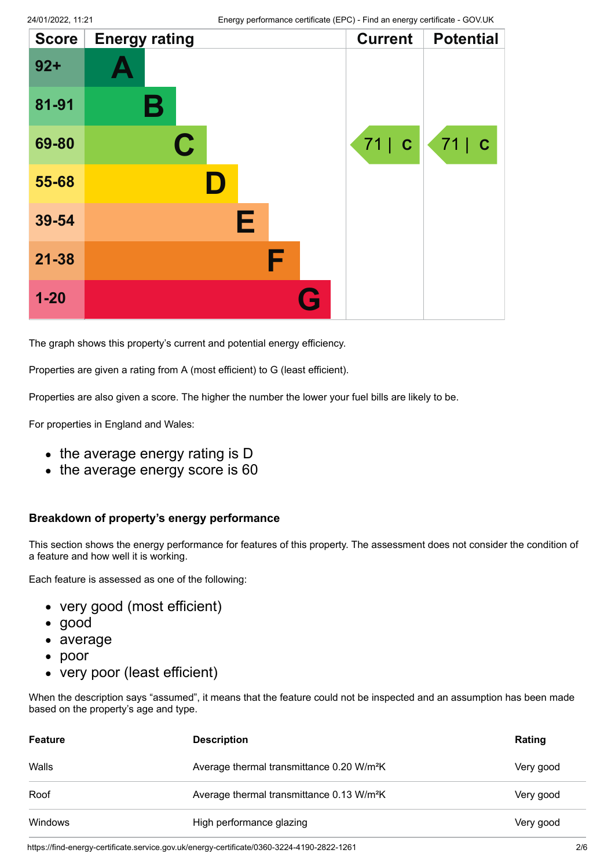| <b>Score</b> | <b>Energy rating</b> |   | <b>Current</b> | <b>Potential</b> |
|--------------|----------------------|---|----------------|------------------|
| $92 +$       |                      |   |                |                  |
| 81-91        | В                    |   |                |                  |
| 69-80        | $\mathbf C$          |   | 71   C         | 71   C           |
| 55-68        |                      |   |                |                  |
| 39-54        |                      | E |                |                  |
| $21 - 38$    |                      | F |                |                  |
| $1 - 20$     |                      | H |                |                  |

The graph shows this property's current and potential energy efficiency.

Properties are given a rating from A (most efficient) to G (least efficient).

Properties are also given a score. The higher the number the lower your fuel bills are likely to be.

For properties in England and Wales:

- the average energy rating is D
- the average energy score is 60

#### **Breakdown of property's energy performance**

This section shows the energy performance for features of this property. The assessment does not consider the condition of a feature and how well it is working.

Each feature is assessed as one of the following:

- very good (most efficient)
- good
- average
- poor
- very poor (least efficient)

When the description says "assumed", it means that the feature could not be inspected and an assumption has been made based on the property's age and type.

| <b>Feature</b> | <b>Description</b>                                    | Rating    |
|----------------|-------------------------------------------------------|-----------|
| Walls          | Average thermal transmittance 0.20 W/m <sup>2</sup> K | Very good |
| Roof           | Average thermal transmittance 0.13 W/m <sup>2</sup> K | Very good |
| Windows        | High performance glazing                              | Very good |

https://find-energy-certificate.service.gov.uk/energy-certificate/0360-3224-4190-2822-1261 2/6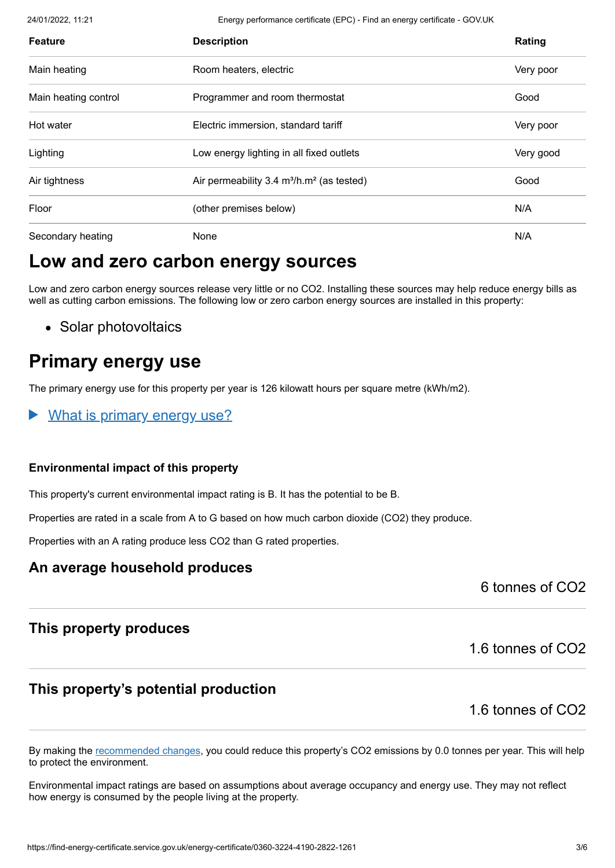24/01/2022, 11:21 Energy performance certificate (EPC) - Find an energy certificate - GOV.UK

| <b>Feature</b>       | <b>Description</b>                           | Rating    |
|----------------------|----------------------------------------------|-----------|
| Main heating         | Room heaters, electric                       | Very poor |
| Main heating control | Programmer and room thermostat               | Good      |
| Hot water            | Electric immersion, standard tariff          | Very poor |
| Lighting             | Low energy lighting in all fixed outlets     | Very good |
| Air tightness        | Air permeability 3.4 $m^3/h.m^2$ (as tested) | Good      |
| Floor                | (other premises below)                       | N/A       |
| Secondary heating    | None                                         | N/A       |

# **Low and zero carbon energy sources**

Low and zero carbon energy sources release very little or no CO2. Installing these sources may help reduce energy bills as well as cutting carbon emissions. The following low or zero carbon energy sources are installed in this property:

• Solar photovoltaics

# **Primary energy use**

The primary energy use for this property per year is 126 kilowatt hours per square metre (kWh/m2).

What is primary energy use?

#### **Environmental impact of this property**

This property's current environmental impact rating is B. It has the potential to be B.

Properties are rated in a scale from A to G based on how much carbon dioxide (CO2) they produce.

Properties with an A rating produce less CO2 than G rated properties.

### **An average household produces**

6 tonnes of CO2

### **This property produces**

1.6 tonnes of CO2

### **This property's potential production**

1.6 tonnes of CO2

By making the [recommended changes](#page-3-0), you could reduce this property's CO2 emissions by 0.0 tonnes per year. This will help to protect the environment.

Environmental impact ratings are based on assumptions about average occupancy and energy use. They may not reflect how energy is consumed by the people living at the property.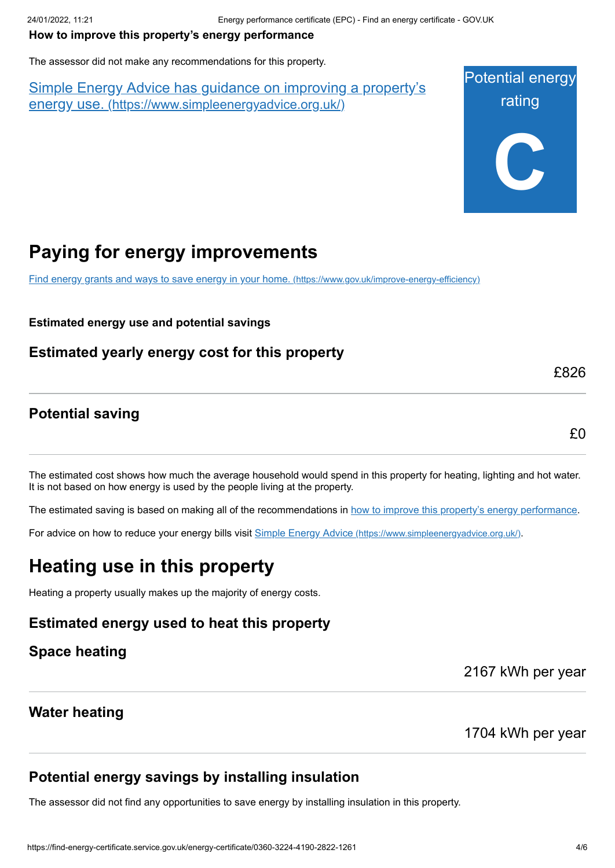### <span id="page-3-0"></span>**How to improve this property's energy performance**

The assessor did not make any recommendations for this property.

Simple Energy Advice has guidance on improving a property's energy use. [\(https://www.simpleenergyadvice.org.uk/\)](https://www.simpleenergyadvice.org.uk/)

Potential energy rating **C**

# **Paying for energy improvements**

[Find energy grants and ways to save energy in your home.](https://www.gov.uk/improve-energy-efficiency) (https://www.gov.uk/improve-energy-efficiency)

**Estimated energy use and potential savings**

### **Estimated yearly energy cost for this property**

**Potential saving**

£0

£826

The estimated cost shows how much the average household would spend in this property for heating, lighting and hot water. It is not based on how energy is used by the people living at the property.

The estimated saving is based on making all of the recommendations in [how to improve this property's energy performance.](#page-3-0)

For advice on how to reduce your energy bills visit Simple Energy Advice [\(https://www.simpleenergyadvice.org.uk/\)](https://www.simpleenergyadvice.org.uk/).

# **Heating use in this property**

Heating a property usually makes up the majority of energy costs.

## **Estimated energy used to heat this property**

**Space heating**

2167 kWh per year

### **Water heating**

1704 kWh per year

## **Potential energy savings by installing insulation**

The assessor did not find any opportunities to save energy by installing insulation in this property.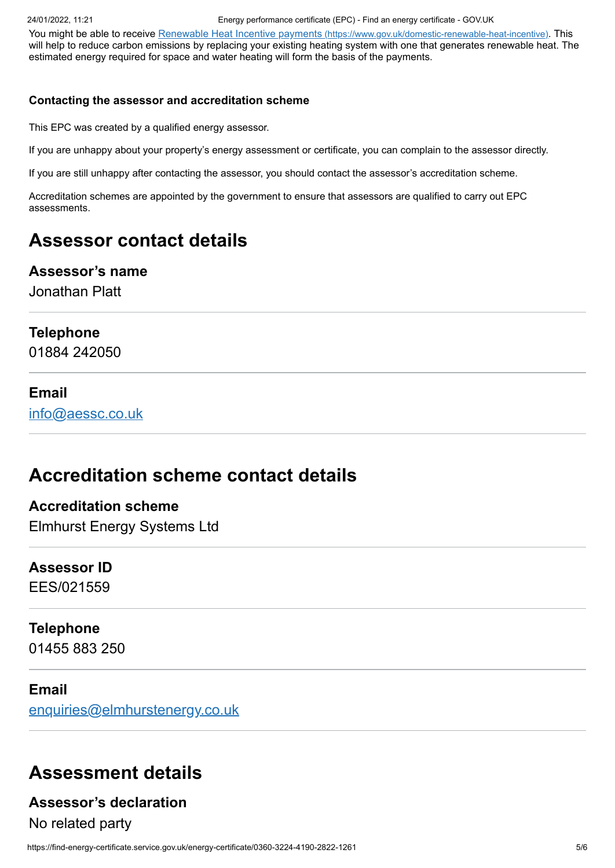You might be able to receive Renewable Heat Incentive payments [\(https://www.gov.uk/domestic-renewable-heat-incentive\)](https://www.gov.uk/domestic-renewable-heat-incentive). This will help to reduce carbon emissions by replacing your existing heating system with one that generates renewable heat. The estimated energy required for space and water heating will form the basis of the payments.

#### **Contacting the assessor and accreditation scheme**

This EPC was created by a qualified energy assessor.

If you are unhappy about your property's energy assessment or certificate, you can complain to the assessor directly.

If you are still unhappy after contacting the assessor, you should contact the assessor's accreditation scheme.

Accreditation schemes are appointed by the government to ensure that assessors are qualified to carry out EPC assessments.

# **Assessor contact details**

#### **Assessor's name**

Jonathan Platt

#### **Telephone**

01884 242050

#### **Email**

[info@aessc.co.uk](mailto:info@aessc.co.uk)

# **Accreditation scheme contact details**

### **Accreditation scheme** Elmhurst Energy Systems Ltd

# **Assessor ID**

EES/021559

### **Telephone**

01455 883 250

#### **Email**

[enquiries@elmhurstenergy.co.uk](mailto:enquiries@elmhurstenergy.co.uk)

# **Assessment details**

### **Assessor's declaration**

No related party